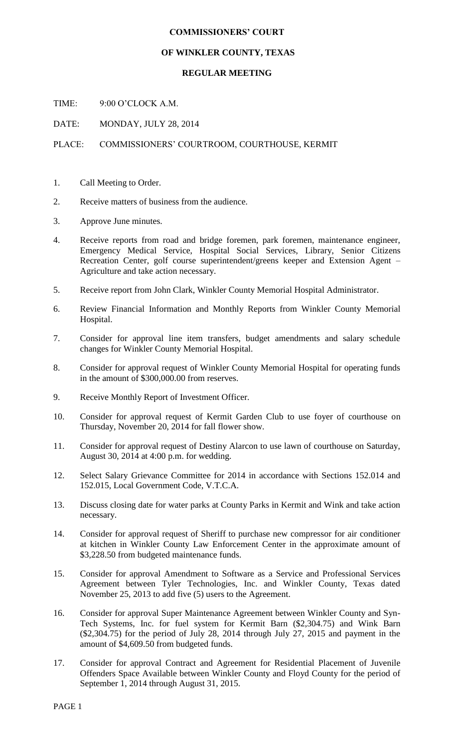## **COMMISSIONERS' COURT**

## **OF WINKLER COUNTY, TEXAS**

## **REGULAR MEETING**

TIME: 9:00 O'CLOCK A.M.

DATE: MONDAY, JULY 28, 2014

## PLACE: COMMISSIONERS' COURTROOM, COURTHOUSE, KERMIT

- 1. Call Meeting to Order.
- 2. Receive matters of business from the audience.
- 3. Approve June minutes.
- 4. Receive reports from road and bridge foremen, park foremen, maintenance engineer, Emergency Medical Service, Hospital Social Services, Library, Senior Citizens Recreation Center, golf course superintendent/greens keeper and Extension Agent – Agriculture and take action necessary.
- 5. Receive report from John Clark, Winkler County Memorial Hospital Administrator.
- 6. Review Financial Information and Monthly Reports from Winkler County Memorial Hospital.
- 7. Consider for approval line item transfers, budget amendments and salary schedule changes for Winkler County Memorial Hospital.
- 8. Consider for approval request of Winkler County Memorial Hospital for operating funds in the amount of \$300,000.00 from reserves.
- 9. Receive Monthly Report of Investment Officer.
- 10. Consider for approval request of Kermit Garden Club to use foyer of courthouse on Thursday, November 20, 2014 for fall flower show.
- 11. Consider for approval request of Destiny Alarcon to use lawn of courthouse on Saturday, August 30, 2014 at 4:00 p.m. for wedding.
- 12. Select Salary Grievance Committee for 2014 in accordance with Sections 152.014 and 152.015, Local Government Code, V.T.C.A.
- 13. Discuss closing date for water parks at County Parks in Kermit and Wink and take action necessary.
- 14. Consider for approval request of Sheriff to purchase new compressor for air conditioner at kitchen in Winkler County Law Enforcement Center in the approximate amount of \$3,228.50 from budgeted maintenance funds.
- 15. Consider for approval Amendment to Software as a Service and Professional Services Agreement between Tyler Technologies, Inc. and Winkler County, Texas dated November 25, 2013 to add five (5) users to the Agreement.
- 16. Consider for approval Super Maintenance Agreement between Winkler County and Syn-Tech Systems, Inc. for fuel system for Kermit Barn (\$2,304.75) and Wink Barn (\$2,304.75) for the period of July 28, 2014 through July 27, 2015 and payment in the amount of \$4,609.50 from budgeted funds.
- 17. Consider for approval Contract and Agreement for Residential Placement of Juvenile Offenders Space Available between Winkler County and Floyd County for the period of September 1, 2014 through August 31, 2015.